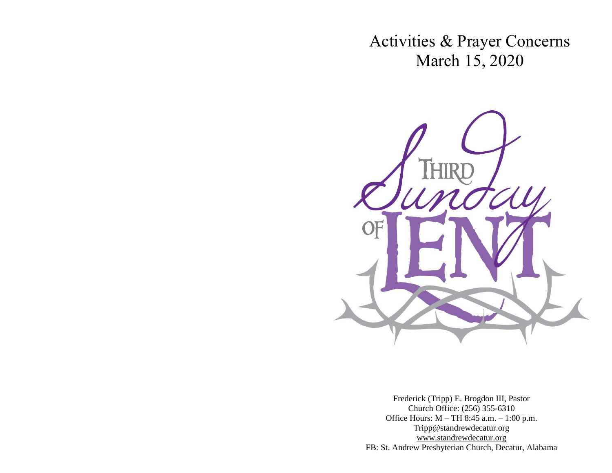Activities & Prayer Concerns March 15, 2020



Frederick (Tripp) E. Brogdon III, Pastor Church Office: (256) 355-6310 Office Hours: M – TH 8:45 a.m. – 1:00 p.m. Tripp@standrewdecatur.org [www.standrewdecatur.](http://www.standrewdecatur/)org FB: St. Andrew Presbyterian Church, Decatur, Alabama